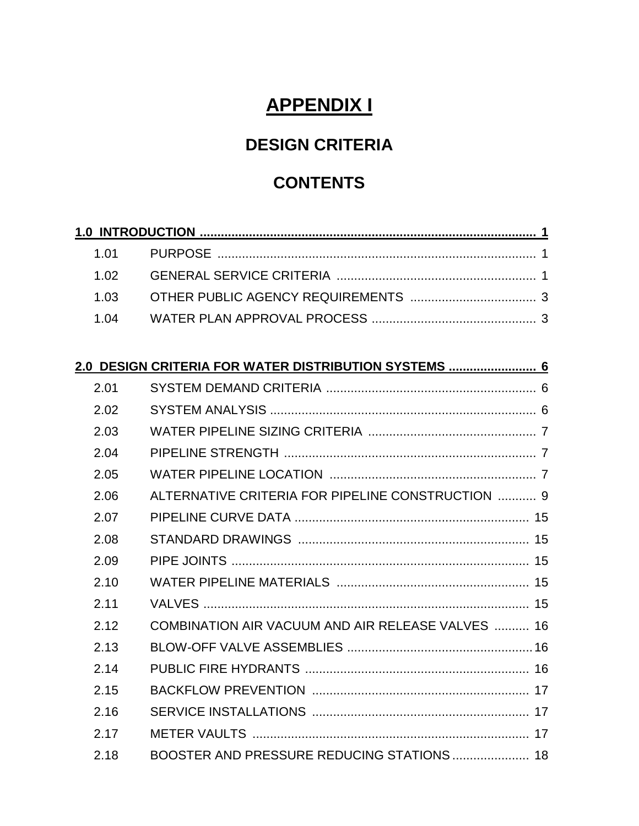# **APPENDIX I**

## **DESIGN CRITERIA**

## **CONTENTS**

|      | 2.0 DESIGN CRITERIA FOR WATER DISTRIBUTION SYSTEMS  6 |
|------|-------------------------------------------------------|
| 2.01 |                                                       |
| 2.02 |                                                       |
| 2.03 |                                                       |
| 2.04 |                                                       |
| 2.05 |                                                       |
| 2.06 | ALTERNATIVE CRITERIA FOR PIPELINE CONSTRUCTION  9     |
| 2.07 |                                                       |
| 2.08 |                                                       |
| 2.09 |                                                       |
| 2.10 |                                                       |
| 2.11 |                                                       |
| 2.12 | COMBINATION AIR VACUUM AND AIR RELEASE VALVES  16     |
| 2.13 |                                                       |
| 2.14 |                                                       |
| 2.15 |                                                       |
| 2.16 |                                                       |
| 2.17 |                                                       |
| 2.18 | BOOSTER AND PRESSURE REDUCING STATIONS  18            |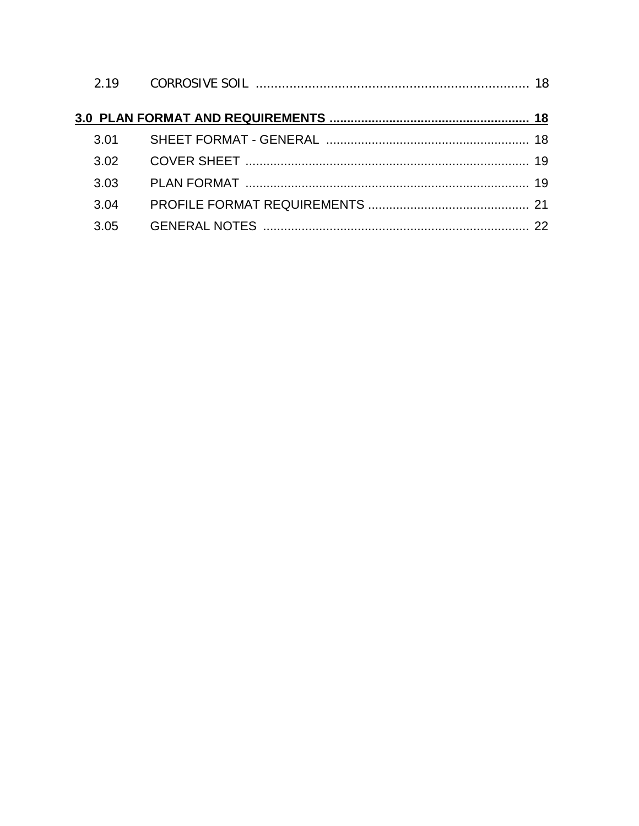| 3.02 |  |
|------|--|
| 3.03 |  |
| 3.04 |  |
| 3.05 |  |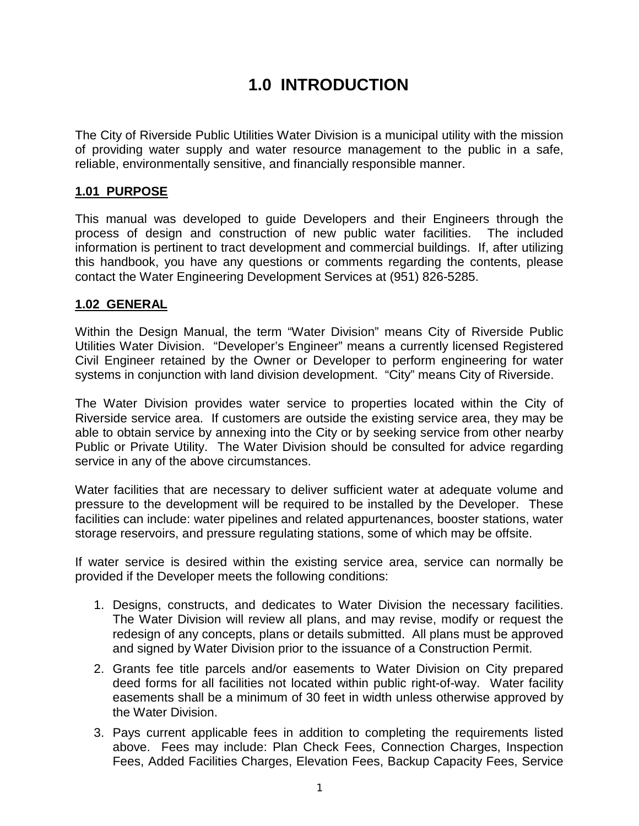## **1.0 INTRODUCTION**

The City of Riverside Public Utilities Water Division is a municipal utility with the mission of providing water supply and water resource management to the public in a safe, reliable, environmentally sensitive, and financially responsible manner.

## **1.01 PURPOSE**

This manual was developed to guide Developers and their Engineers through the process of design and construction of new public water facilities. The included information is pertinent to tract development and commercial buildings. If, after utilizing this handbook, you have any questions or comments regarding the contents, please contact the Water Engineering Development Services at (951) 826-5285.

## **1.02 GENERAL**

Within the Design Manual, the term "Water Division" means City of Riverside Public Utilities Water Division. "Developer's Engineer" means a currently licensed Registered Civil Engineer retained by the Owner or Developer to perform engineering for water systems in conjunction with land division development. "City" means City of Riverside.

The Water Division provides water service to properties located within the City of Riverside service area. If customers are outside the existing service area, they may be able to obtain service by annexing into the City or by seeking service from other nearby Public or Private Utility. The Water Division should be consulted for advice regarding service in any of the above circumstances.

Water facilities that are necessary to deliver sufficient water at adequate volume and pressure to the development will be required to be installed by the Developer. These facilities can include: water pipelines and related appurtenances, booster stations, water storage reservoirs, and pressure regulating stations, some of which may be offsite.

If water service is desired within the existing service area, service can normally be provided if the Developer meets the following conditions:

- 1. Designs, constructs, and dedicates to Water Division the necessary facilities. The Water Division will review all plans, and may revise, modify or request the redesign of any concepts, plans or details submitted. All plans must be approved and signed by Water Division prior to the issuance of a Construction Permit.
- 2. Grants fee title parcels and/or easements to Water Division on City prepared deed forms for all facilities not located within public right-of-way. Water facility easements shall be a minimum of 30 feet in width unless otherwise approved by the Water Division.
- 3. Pays current applicable fees in addition to completing the requirements listed above. Fees may include: Plan Check Fees, Connection Charges, Inspection Fees, Added Facilities Charges, Elevation Fees, Backup Capacity Fees, Service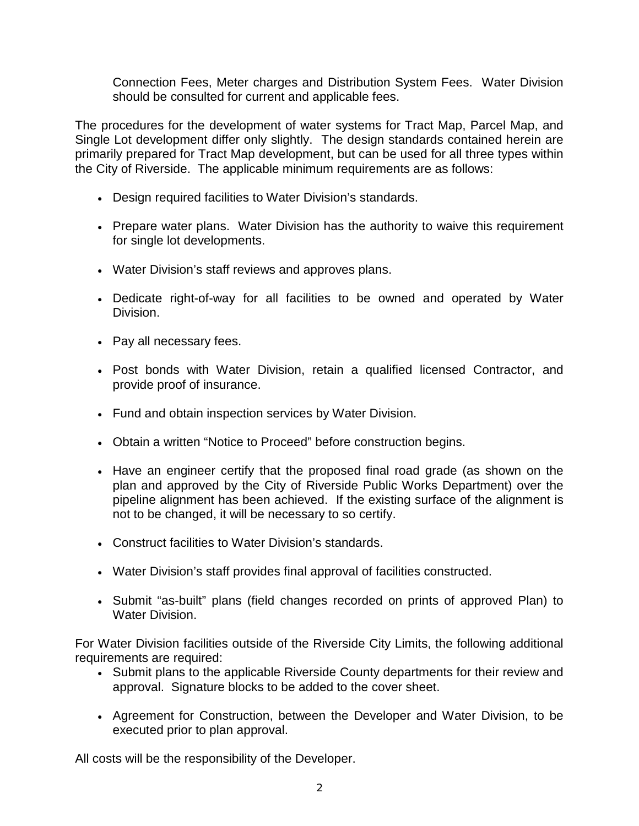Connection Fees, Meter charges and Distribution System Fees. Water Division should be consulted for current and applicable fees.

The procedures for the development of water systems for Tract Map, Parcel Map, and Single Lot development differ only slightly. The design standards contained herein are primarily prepared for Tract Map development, but can be used for all three types within the City of Riverside. The applicable minimum requirements are as follows:

- Design required facilities to Water Division's standards.
- Prepare water plans. Water Division has the authority to waive this requirement for single lot developments.
- Water Division's staff reviews and approves plans.
- Dedicate right-of-way for all facilities to be owned and operated by Water Division.
- Pay all necessary fees.
- Post bonds with Water Division, retain a qualified licensed Contractor, and provide proof of insurance.
- Fund and obtain inspection services by Water Division.
- Obtain a written "Notice to Proceed" before construction begins.
- Have an engineer certify that the proposed final road grade (as shown on the plan and approved by the City of Riverside Public Works Department) over the pipeline alignment has been achieved. If the existing surface of the alignment is not to be changed, it will be necessary to so certify.
- Construct facilities to Water Division's standards.
- Water Division's staff provides final approval of facilities constructed.
- Submit "as-built" plans (field changes recorded on prints of approved Plan) to Water Division.

For Water Division facilities outside of the Riverside City Limits, the following additional requirements are required:

- Submit plans to the applicable Riverside County departments for their review and approval. Signature blocks to be added to the cover sheet.
- Agreement for Construction, between the Developer and Water Division, to be executed prior to plan approval.

All costs will be the responsibility of the Developer.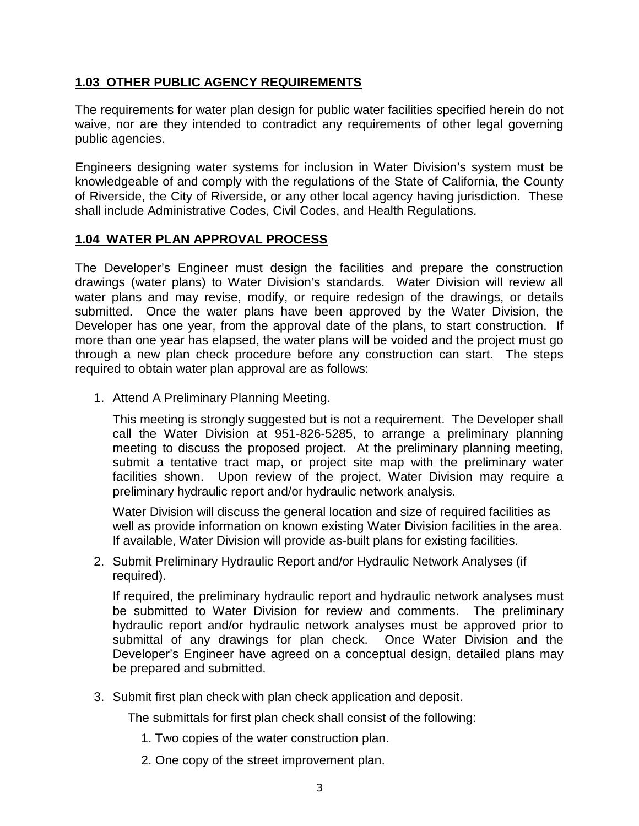### **1.03 OTHER PUBLIC AGENCY REQUIREMENTS**

The requirements for water plan design for public water facilities specified herein do not waive, nor are they intended to contradict any requirements of other legal governing public agencies.

Engineers designing water systems for inclusion in Water Division's system must be knowledgeable of and comply with the regulations of the State of California, the County of Riverside, the City of Riverside, or any other local agency having jurisdiction. These shall include Administrative Codes, Civil Codes, and Health Regulations.

#### **1.04 WATER PLAN APPROVAL PROCESS**

The Developer's Engineer must design the facilities and prepare the construction drawings (water plans) to Water Division's standards. Water Division will review all water plans and may revise, modify, or require redesign of the drawings, or details submitted. Once the water plans have been approved by the Water Division, the Developer has one year, from the approval date of the plans, to start construction. If more than one year has elapsed, the water plans will be voided and the project must go through a new plan check procedure before any construction can start. The steps required to obtain water plan approval are as follows:

1. Attend A Preliminary Planning Meeting.

This meeting is strongly suggested but is not a requirement. The Developer shall call the Water Division at 951-826-5285, to arrange a preliminary planning meeting to discuss the proposed project. At the preliminary planning meeting, submit a tentative tract map, or project site map with the preliminary water facilities shown. Upon review of the project, Water Division may require a preliminary hydraulic report and/or hydraulic network analysis.

Water Division will discuss the general location and size of required facilities as well as provide information on known existing Water Division facilities in the area. If available, Water Division will provide as-built plans for existing facilities.

2. Submit Preliminary Hydraulic Report and/or Hydraulic Network Analyses (if required).

If required, the preliminary hydraulic report and hydraulic network analyses must be submitted to Water Division for review and comments. The preliminary hydraulic report and/or hydraulic network analyses must be approved prior to submittal of any drawings for plan check. Once Water Division and the Developer's Engineer have agreed on a conceptual design, detailed plans may be prepared and submitted.

3. Submit first plan check with plan check application and deposit.

The submittals for first plan check shall consist of the following:

- 1. Two copies of the water construction plan.
- 2. One copy of the street improvement plan.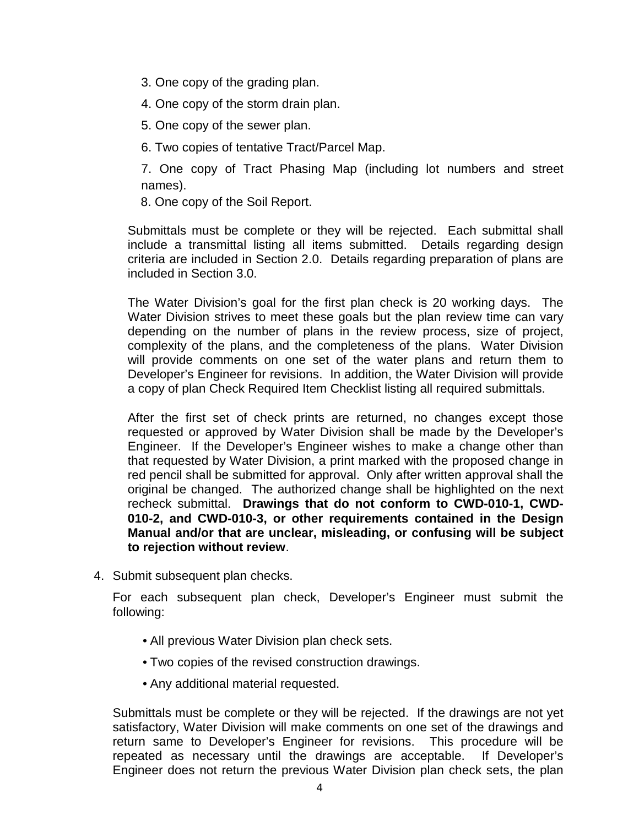- 3. One copy of the grading plan.
- 4. One copy of the storm drain plan.
- 5. One copy of the sewer plan.
- 6. Two copies of tentative Tract/Parcel Map.

7. One copy of Tract Phasing Map (including lot numbers and street names).

8. One copy of the Soil Report.

Submittals must be complete or they will be rejected. Each submittal shall include a transmittal listing all items submitted. Details regarding design criteria are included in Section 2.0. Details regarding preparation of plans are included in Section 3.0.

The Water Division's goal for the first plan check is 20 working days. The Water Division strives to meet these goals but the plan review time can vary depending on the number of plans in the review process, size of project, complexity of the plans, and the completeness of the plans. Water Division will provide comments on one set of the water plans and return them to Developer's Engineer for revisions. In addition, the Water Division will provide a copy of plan Check Required Item Checklist listing all required submittals.

After the first set of check prints are returned, no changes except those requested or approved by Water Division shall be made by the Developer's Engineer. If the Developer's Engineer wishes to make a change other than that requested by Water Division, a print marked with the proposed change in red pencil shall be submitted for approval. Only after written approval shall the original be changed. The authorized change shall be highlighted on the next recheck submittal. **Drawings that do not conform to CWD-010-1, CWD-010-2, and CWD-010-3, or other requirements contained in the Design Manual and/or that are unclear, misleading, or confusing will be subject to rejection without review**.

4. Submit subsequent plan checks.

For each subsequent plan check, Developer's Engineer must submit the following:

- All previous Water Division plan check sets.
- Two copies of the revised construction drawings.
- Any additional material requested.

Submittals must be complete or they will be rejected. If the drawings are not yet satisfactory, Water Division will make comments on one set of the drawings and return same to Developer's Engineer for revisions. This procedure will be repeated as necessary until the drawings are acceptable. If Developer's Engineer does not return the previous Water Division plan check sets, the plan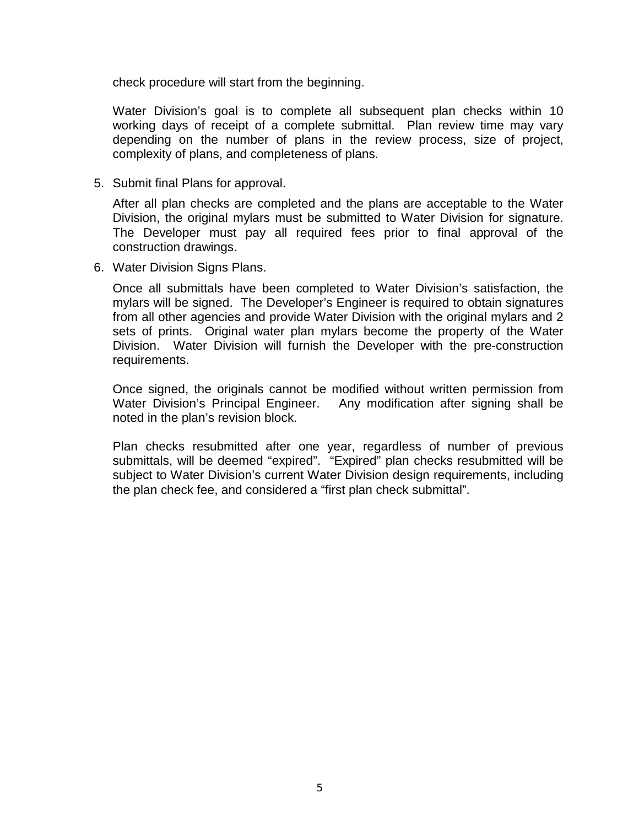check procedure will start from the beginning.

Water Division's goal is to complete all subsequent plan checks within 10 working days of receipt of a complete submittal. Plan review time may vary depending on the number of plans in the review process, size of project, complexity of plans, and completeness of plans.

5. Submit final Plans for approval.

After all plan checks are completed and the plans are acceptable to the Water Division, the original mylars must be submitted to Water Division for signature. The Developer must pay all required fees prior to final approval of the construction drawings.

6. Water Division Signs Plans.

Once all submittals have been completed to Water Division's satisfaction, the mylars will be signed. The Developer's Engineer is required to obtain signatures from all other agencies and provide Water Division with the original mylars and 2 sets of prints. Original water plan mylars become the property of the Water Division. Water Division will furnish the Developer with the pre-construction requirements.

Once signed, the originals cannot be modified without written permission from Water Division's Principal Engineer. Any modification after signing shall be noted in the plan's revision block.

Plan checks resubmitted after one year, regardless of number of previous submittals, will be deemed "expired". "Expired" plan checks resubmitted will be subject to Water Division's current Water Division design requirements, including the plan check fee, and considered a "first plan check submittal".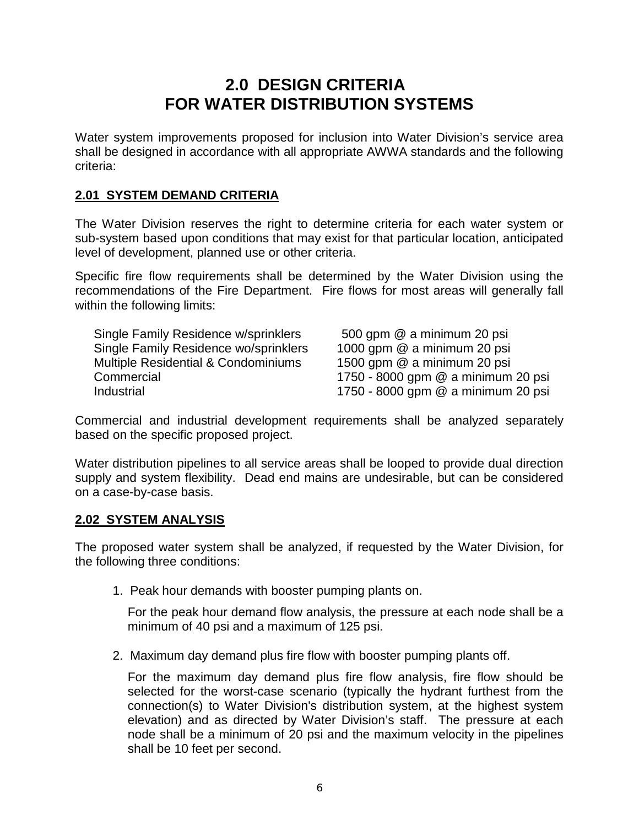## **2.0 DESIGN CRITERIA FOR WATER DISTRIBUTION SYSTEMS**

Water system improvements proposed for inclusion into Water Division's service area shall be designed in accordance with all appropriate AWWA standards and the following criteria:

### **2.01 SYSTEM DEMAND CRITERIA**

The Water Division reserves the right to determine criteria for each water system or sub-system based upon conditions that may exist for that particular location, anticipated level of development, planned use or other criteria.

Specific fire flow requirements shall be determined by the Water Division using the recommendations of the Fire Department. Fire flows for most areas will generally fall within the following limits:

| Single Family Residence w/sprinklers           | 500 gpm @ a minimum 20 psi         |
|------------------------------------------------|------------------------------------|
| Single Family Residence wo/sprinklers          | 1000 gpm @ a minimum 20 psi        |
| <b>Multiple Residential &amp; Condominiums</b> | 1500 gpm @ a minimum 20 psi        |
| Commercial                                     | 1750 - 8000 gpm @ a minimum 20 psi |
| Industrial                                     | 1750 - 8000 gpm @ a minimum 20 psi |

Commercial and industrial development requirements shall be analyzed separately based on the specific proposed project.

Water distribution pipelines to all service areas shall be looped to provide dual direction supply and system flexibility. Dead end mains are undesirable, but can be considered on a case-by-case basis.

#### **2.02 SYSTEM ANALYSIS**

The proposed water system shall be analyzed, if requested by the Water Division, for the following three conditions:

1. Peak hour demands with booster pumping plants on.

For the peak hour demand flow analysis, the pressure at each node shall be a minimum of 40 psi and a maximum of 125 psi.

2. Maximum day demand plus fire flow with booster pumping plants off.

For the maximum day demand plus fire flow analysis, fire flow should be selected for the worst-case scenario (typically the hydrant furthest from the connection(s) to Water Division's distribution system, at the highest system elevation) and as directed by Water Division's staff. The pressure at each node shall be a minimum of 20 psi and the maximum velocity in the pipelines shall be 10 feet per second.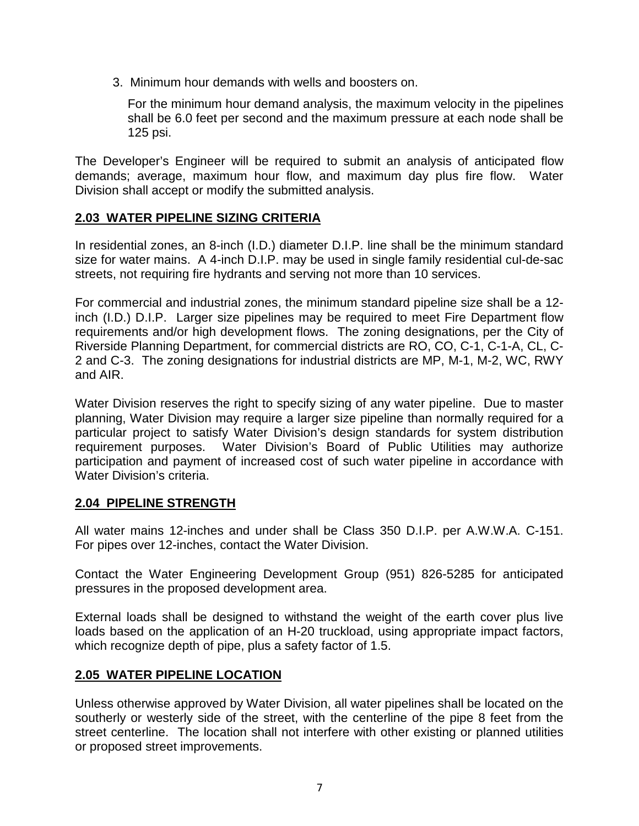3. Minimum hour demands with wells and boosters on.

For the minimum hour demand analysis, the maximum velocity in the pipelines shall be 6.0 feet per second and the maximum pressure at each node shall be 125 psi.

The Developer's Engineer will be required to submit an analysis of anticipated flow demands; average, maximum hour flow, and maximum day plus fire flow. Water Division shall accept or modify the submitted analysis.

## **2.03 WATER PIPELINE SIZING CRITERIA**

In residential zones, an 8-inch (I.D.) diameter D.I.P. line shall be the minimum standard size for water mains. A 4-inch D.I.P. may be used in single family residential cul-de-sac streets, not requiring fire hydrants and serving not more than 10 services.

For commercial and industrial zones, the minimum standard pipeline size shall be a 12 inch (I.D.) D.I.P. Larger size pipelines may be required to meet Fire Department flow requirements and/or high development flows. The zoning designations, per the City of Riverside Planning Department, for commercial districts are RO, CO, C-1, C-1-A, CL, C-2 and C-3. The zoning designations for industrial districts are MP, M-1, M-2, WC, RWY and AIR.

Water Division reserves the right to specify sizing of any water pipeline. Due to master planning, Water Division may require a larger size pipeline than normally required for a particular project to satisfy Water Division's design standards for system distribution requirement purposes. Water Division's Board of Public Utilities may authorize participation and payment of increased cost of such water pipeline in accordance with Water Division's criteria.

## **2.04 PIPELINE STRENGTH**

All water mains 12-inches and under shall be Class 350 D.I.P. per A.W.W.A. C-151. For pipes over 12-inches, contact the Water Division.

Contact the Water Engineering Development Group (951) 826-5285 for anticipated pressures in the proposed development area.

External loads shall be designed to withstand the weight of the earth cover plus live loads based on the application of an H-20 truckload, using appropriate impact factors, which recognize depth of pipe, plus a safety factor of 1.5.

## **2.05 WATER PIPELINE LOCATION**

Unless otherwise approved by Water Division, all water pipelines shall be located on the southerly or westerly side of the street, with the centerline of the pipe 8 feet from the street centerline. The location shall not interfere with other existing or planned utilities or proposed street improvements.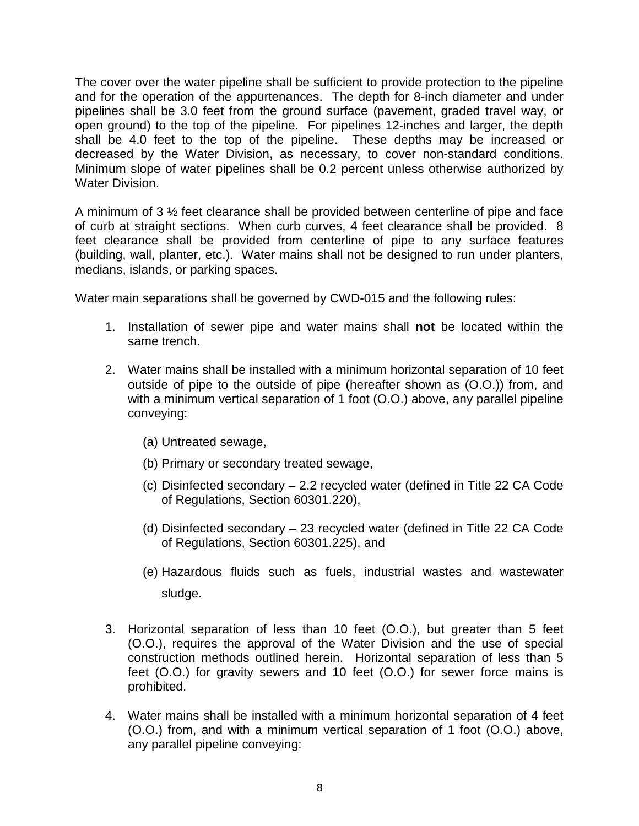The cover over the water pipeline shall be sufficient to provide protection to the pipeline and for the operation of the appurtenances. The depth for 8-inch diameter and under pipelines shall be 3.0 feet from the ground surface (pavement, graded travel way, or open ground) to the top of the pipeline. For pipelines 12-inches and larger, the depth shall be 4.0 feet to the top of the pipeline. These depths may be increased or decreased by the Water Division, as necessary, to cover non-standard conditions. Minimum slope of water pipelines shall be 0.2 percent unless otherwise authorized by Water Division.

A minimum of 3 ½ feet clearance shall be provided between centerline of pipe and face of curb at straight sections. When curb curves, 4 feet clearance shall be provided. 8 feet clearance shall be provided from centerline of pipe to any surface features (building, wall, planter, etc.). Water mains shall not be designed to run under planters, medians, islands, or parking spaces.

Water main separations shall be governed by CWD-015 and the following rules:

- 1. Installation of sewer pipe and water mains shall **not** be located within the same trench.
- 2. Water mains shall be installed with a minimum horizontal separation of 10 feet outside of pipe to the outside of pipe (hereafter shown as (O.O.)) from, and with a minimum vertical separation of 1 foot (O.O.) above, any parallel pipeline conveying:
	- (a) Untreated sewage,
	- (b) Primary or secondary treated sewage,
	- (c) Disinfected secondary 2.2 recycled water (defined in Title 22 CA Code of Regulations, Section 60301.220),
	- (d) Disinfected secondary 23 recycled water (defined in Title 22 CA Code of Regulations, Section 60301.225), and
	- (e) Hazardous fluids such as fuels, industrial wastes and wastewater sludge.
- 3. Horizontal separation of less than 10 feet (O.O.), but greater than 5 feet (O.O.), requires the approval of the Water Division and the use of special construction methods outlined herein. Horizontal separation of less than 5 feet (O.O.) for gravity sewers and 10 feet (O.O.) for sewer force mains is prohibited.
- 4. Water mains shall be installed with a minimum horizontal separation of 4 feet (O.O.) from, and with a minimum vertical separation of 1 foot (O.O.) above, any parallel pipeline conveying: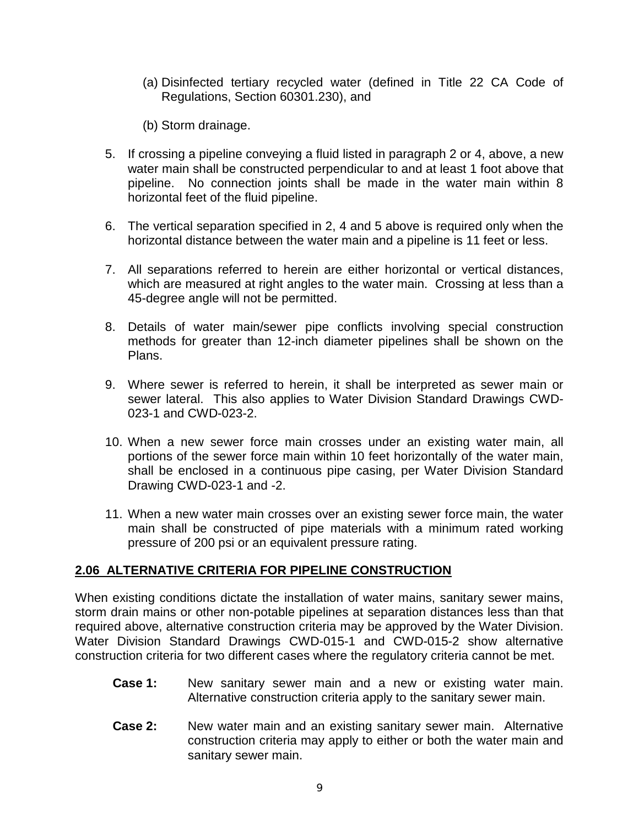- (a) Disinfected tertiary recycled water (defined in Title 22 CA Code of Regulations, Section 60301.230), and
- (b) Storm drainage.
- 5. If crossing a pipeline conveying a fluid listed in paragraph 2 or 4, above, a new water main shall be constructed perpendicular to and at least 1 foot above that pipeline. No connection joints shall be made in the water main within 8 horizontal feet of the fluid pipeline.
- 6. The vertical separation specified in 2, 4 and 5 above is required only when the horizontal distance between the water main and a pipeline is 11 feet or less.
- 7. All separations referred to herein are either horizontal or vertical distances, which are measured at right angles to the water main. Crossing at less than a 45-degree angle will not be permitted.
- 8. Details of water main/sewer pipe conflicts involving special construction methods for greater than 12-inch diameter pipelines shall be shown on the Plans.
- 9. Where sewer is referred to herein, it shall be interpreted as sewer main or sewer lateral. This also applies to Water Division Standard Drawings CWD-023-1 and CWD-023-2.
- 10. When a new sewer force main crosses under an existing water main, all portions of the sewer force main within 10 feet horizontally of the water main, shall be enclosed in a continuous pipe casing, per Water Division Standard Drawing CWD-023-1 and -2.
- 11. When a new water main crosses over an existing sewer force main, the water main shall be constructed of pipe materials with a minimum rated working pressure of 200 psi or an equivalent pressure rating.

## **2.06 ALTERNATIVE CRITERIA FOR PIPELINE CONSTRUCTION**

When existing conditions dictate the installation of water mains, sanitary sewer mains, storm drain mains or other non-potable pipelines at separation distances less than that required above, alternative construction criteria may be approved by the Water Division. Water Division Standard Drawings CWD-015-1 and CWD-015-2 show alternative construction criteria for two different cases where the regulatory criteria cannot be met.

- **Case 1:** New sanitary sewer main and a new or existing water main. Alternative construction criteria apply to the sanitary sewer main.
- **Case 2:** New water main and an existing sanitary sewer main. Alternative construction criteria may apply to either or both the water main and sanitary sewer main.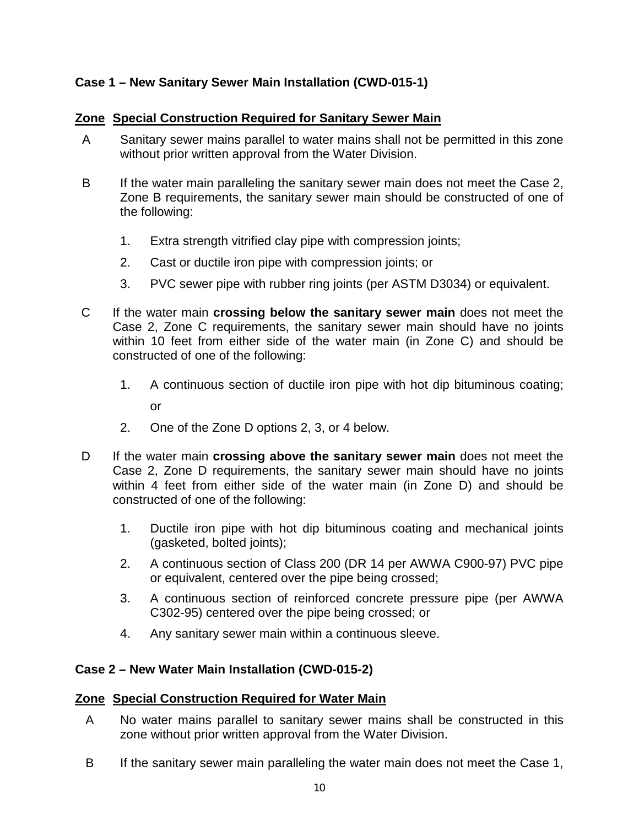## **Case 1 – New Sanitary Sewer Main Installation (CWD-015-1)**

#### **Zone Special Construction Required for Sanitary Sewer Main**

- A Sanitary sewer mains parallel to water mains shall not be permitted in this zone without prior written approval from the Water Division.
- B If the water main paralleling the sanitary sewer main does not meet the Case 2, Zone B requirements, the sanitary sewer main should be constructed of one of the following:
	- 1. Extra strength vitrified clay pipe with compression joints;
	- 2. Cast or ductile iron pipe with compression joints; or
	- 3. PVC sewer pipe with rubber ring joints (per ASTM D3034) or equivalent.
- C If the water main **crossing below the sanitary sewer main** does not meet the Case 2, Zone C requirements, the sanitary sewer main should have no joints within 10 feet from either side of the water main (in Zone C) and should be constructed of one of the following:
	- 1. A continuous section of ductile iron pipe with hot dip bituminous coating; or
	- 2. One of the Zone D options 2, 3, or 4 below.
- D If the water main **crossing above the sanitary sewer main** does not meet the Case 2, Zone D requirements, the sanitary sewer main should have no joints within 4 feet from either side of the water main (in Zone D) and should be constructed of one of the following:
	- 1. Ductile iron pipe with hot dip bituminous coating and mechanical joints (gasketed, bolted joints);
	- 2. A continuous section of Class 200 (DR 14 per AWWA C900-97) PVC pipe or equivalent, centered over the pipe being crossed;
	- 3. A continuous section of reinforced concrete pressure pipe (per AWWA C302-95) centered over the pipe being crossed; or
	- 4. Any sanitary sewer main within a continuous sleeve.

## **Case 2 – New Water Main Installation (CWD-015-2)**

#### **Zone Special Construction Required for Water Main**

- A No water mains parallel to sanitary sewer mains shall be constructed in this zone without prior written approval from the Water Division.
- B If the sanitary sewer main paralleling the water main does not meet the Case 1,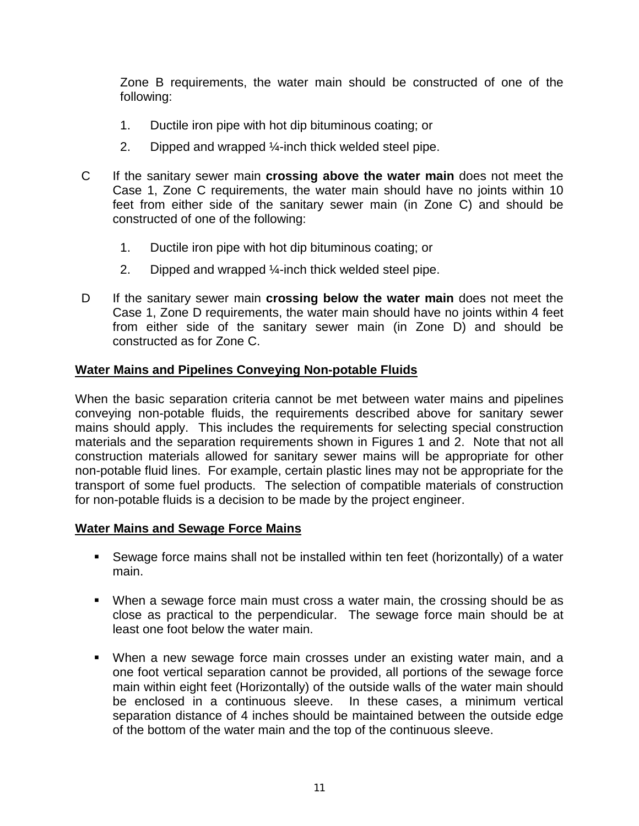Zone B requirements, the water main should be constructed of one of the following:

- 1. Ductile iron pipe with hot dip bituminous coating; or
- 2. Dipped and wrapped ¼-inch thick welded steel pipe.
- C If the sanitary sewer main **crossing above the water main** does not meet the Case 1, Zone C requirements, the water main should have no joints within 10 feet from either side of the sanitary sewer main (in Zone C) and should be constructed of one of the following:
	- 1. Ductile iron pipe with hot dip bituminous coating; or
	- 2. Dipped and wrapped ¼-inch thick welded steel pipe.
- D If the sanitary sewer main **crossing below the water main** does not meet the Case 1, Zone D requirements, the water main should have no joints within 4 feet from either side of the sanitary sewer main (in Zone D) and should be constructed as for Zone C.

#### **Water Mains and Pipelines Conveying Non-potable Fluids**

When the basic separation criteria cannot be met between water mains and pipelines conveying non-potable fluids, the requirements described above for sanitary sewer mains should apply. This includes the requirements for selecting special construction materials and the separation requirements shown in Figures 1 and 2. Note that not all construction materials allowed for sanitary sewer mains will be appropriate for other non-potable fluid lines. For example, certain plastic lines may not be appropriate for the transport of some fuel products. The selection of compatible materials of construction for non-potable fluids is a decision to be made by the project engineer.

#### **Water Mains and Sewage Force Mains**

- Sewage force mains shall not be installed within ten feet (horizontally) of a water main.
- When a sewage force main must cross a water main, the crossing should be as close as practical to the perpendicular. The sewage force main should be at least one foot below the water main.
- When a new sewage force main crosses under an existing water main, and a one foot vertical separation cannot be provided, all portions of the sewage force main within eight feet (Horizontally) of the outside walls of the water main should be enclosed in a continuous sleeve. In these cases, a minimum vertical separation distance of 4 inches should be maintained between the outside edge of the bottom of the water main and the top of the continuous sleeve.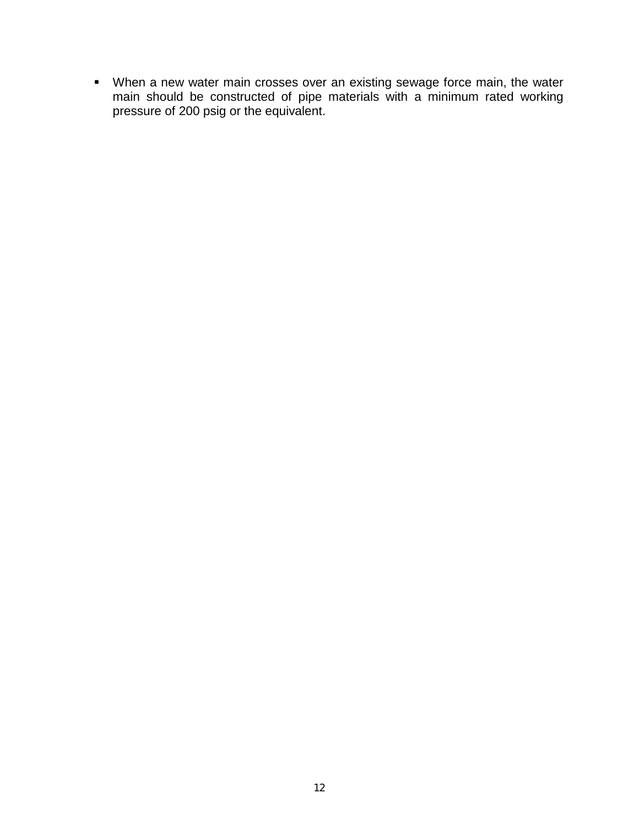When a new water main crosses over an existing sewage force main, the water main should be constructed of pipe materials with a minimum rated working pressure of 200 psig or the equivalent.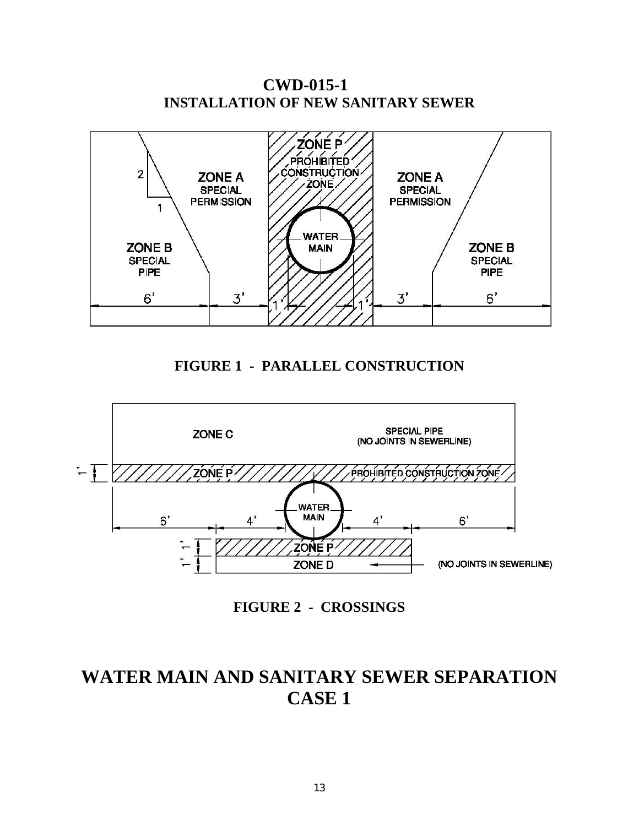



**FIGURE 1 - PARALLEL CONSTRUCTION**



**FIGURE 2 - CROSSINGS**

## **WATER MAIN AND SANITARY SEWER SEPARATION CASE 1**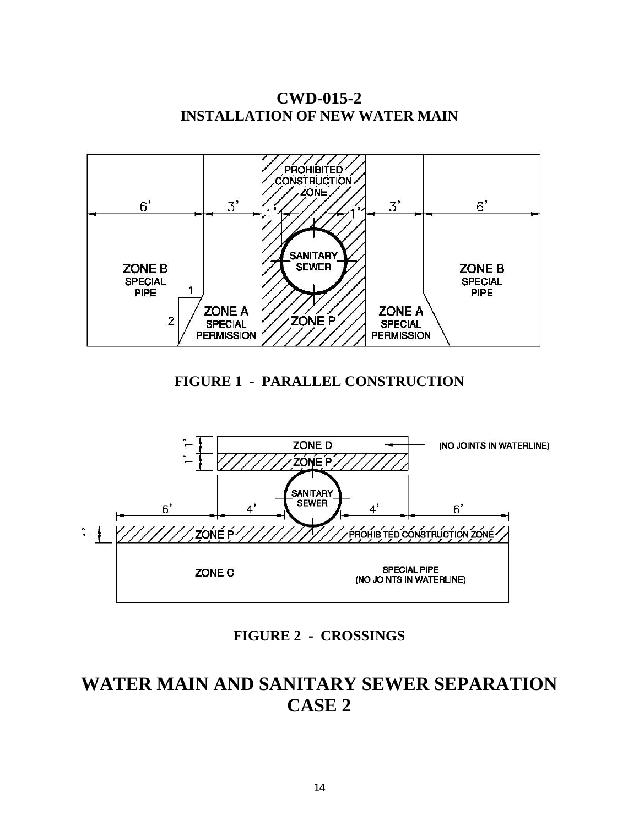PROHIBITED **CONSTRUCTION ZONE**  $3'$  $6'$  $6'$  $3'$ **SANITARY SEWER ZONE B** ZONE B **SPECIAL SPECIAL**  $\mathbf{1}$ PIPE **PIPE** ZONE A **ZONE A ZONE P**  $\overline{2}$ **SPECIAL SPECIAL PERMISSION PERMISSION** 

**CWD-015-2 INSTALLATION OF NEW WATER MAIN**

**FIGURE 1 - PARALLEL CONSTRUCTION**



**FIGURE 2 - CROSSINGS**

## **WATER MAIN AND SANITARY SEWER SEPARATION CASE 2**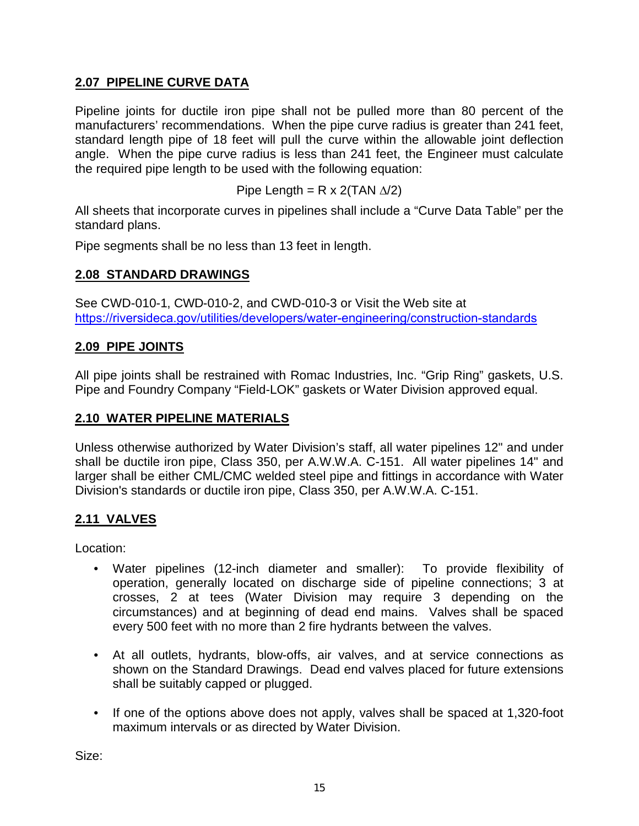## **2.07 PIPELINE CURVE DATA**

Pipeline joints for ductile iron pipe shall not be pulled more than 80 percent of the manufacturers' recommendations. When the pipe curve radius is greater than 241 feet, standard length pipe of 18 feet will pull the curve within the allowable joint deflection angle. When the pipe curve radius is less than 241 feet, the Engineer must calculate the required pipe length to be used with the following equation:

Pipe Length = R x 2(TAN  $\Delta$ /2)

All sheets that incorporate curves in pipelines shall include a "Curve Data Table" per the standard plans.

Pipe segments shall be no less than 13 feet in length.

#### **2.08 STANDARD DRAWINGS**

See CWD-010-1, CWD-010-2, and CWD-010-3 or Visit the Web site at [https://riversideca.gov/utilities/developers/water-engineering](http://www.riversideca.gov/utilities/water-ugconstruction.asp)[/construction-standards](https://riversideca.gov/utilities/developers/water-engineering/construction-standards)

#### **2.09 PIPE JOINTS**

All pipe joints shall be restrained with Romac Industries, Inc. "Grip Ring" gaskets, U.S. Pipe and Foundry Company "Field-LOK" gaskets or Water Division approved equal.

#### **2.10 WATER PIPELINE MATERIALS**

Unless otherwise authorized by Water Division's staff, all water pipelines 12" and under shall be ductile iron pipe, Class 350, per A.W.W.A. C-151. All water pipelines 14" and larger shall be either CML/CMC welded steel pipe and fittings in accordance with Water Division's standards or ductile iron pipe, Class 350, per A.W.W.A. C-151.

## **2.11 VALVES**

Location:  $\overline{\phantom{a}}$ 

- Water pipelines (12-inch diameter and smaller): To provide flexibility of operation, generally located on discharge side of pipeline connections; 3 at crosses, 2 at tees (Water Division may require 3 depending on the circumstances) and at beginning of dead end mains. Valves shall be spaced every 500 feet with no more than 2 fire hydrants between the valves.
- At all outlets, hydrants, blow-offs, air valves, and at service connections as shown on the Standard Drawings. Dead end valves placed for future extensions shall be suitably capped or plugged.
- If one of the options above does not apply, valves shall be spaced at 1,320-foot maximum intervals or as directed by Water Division.

Size: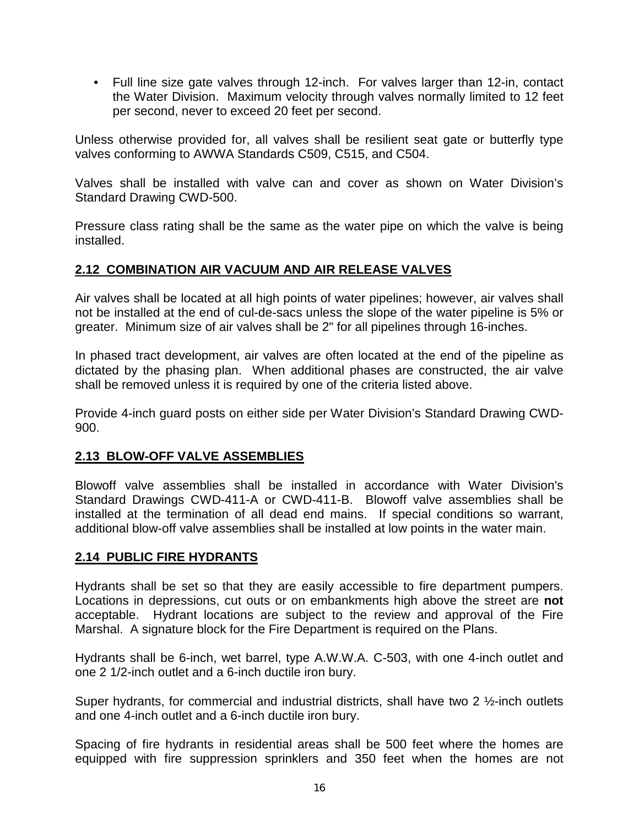• Full line size gate valves through 12-inch. For valves larger than 12-in, contact the Water Division. Maximum velocity through valves normally limited to 12 feet per second, never to exceed 20 feet per second.

Unless otherwise provided for, all valves shall be resilient seat gate or butterfly type valves conforming to AWWA Standards C509, C515, and C504.

Valves shall be installed with valve can and cover as shown on Water Division's Standard Drawing CWD-500.

Pressure class rating shall be the same as the water pipe on which the valve is being installed.

## **2.12 COMBINATION AIR VACUUM AND AIR RELEASE VALVES**

Air valves shall be located at all high points of water pipelines; however, air valves shall not be installed at the end of cul-de-sacs unless the slope of the water pipeline is 5% or greater. Minimum size of air valves shall be 2" for all pipelines through 16-inches.

In phased tract development, air valves are often located at the end of the pipeline as dictated by the phasing plan. When additional phases are constructed, the air valve shall be removed unless it is required by one of the criteria listed above.

Provide 4-inch guard posts on either side per Water Division's Standard Drawing CWD-900.

## **2.13 BLOW-OFF VALVE ASSEMBLIES**

Blowoff valve assemblies shall be installed in accordance with Water Division's Standard Drawings CWD-411-A or CWD-411-B. Blowoff valve assemblies shall be installed at the termination of all dead end mains. If special conditions so warrant, additional blow-off valve assemblies shall be installed at low points in the water main.

## **2.14 PUBLIC FIRE HYDRANTS**

Hydrants shall be set so that they are easily accessible to fire department pumpers. Locations in depressions, cut outs or on embankments high above the street are **not** acceptable. Hydrant locations are subject to the review and approval of the Fire Marshal. A signature block for the Fire Department is required on the Plans.

Hydrants shall be 6-inch, wet barrel, type A.W.W.A. C-503, with one 4-inch outlet and one 2 1/2-inch outlet and a 6-inch ductile iron bury.

Super hydrants, for commercial and industrial districts, shall have two 2 1/2-inch outlets and one 4-inch outlet and a 6-inch ductile iron bury.

Spacing of fire hydrants in residential areas shall be 500 feet where the homes are equipped with fire suppression sprinklers and 350 feet when the homes are not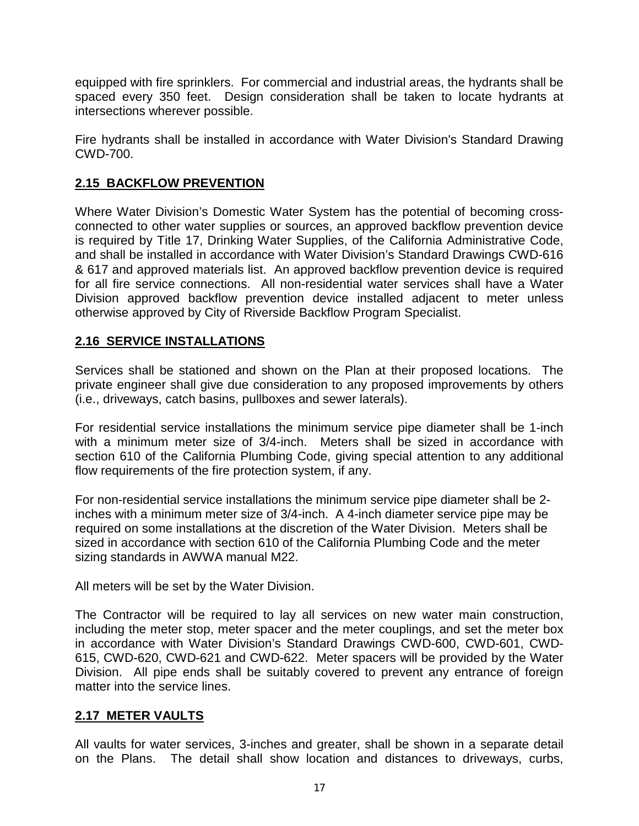equipped with fire sprinklers. For commercial and industrial areas, the hydrants shall be spaced every 350 feet. Design consideration shall be taken to locate hydrants at intersections wherever possible.

Fire hydrants shall be installed in accordance with Water Division's Standard Drawing CWD-700.

## **2.15 BACKFLOW PREVENTION**

Where Water Division's Domestic Water System has the potential of becoming crossconnected to other water supplies or sources, an approved backflow prevention device is required by Title 17, Drinking Water Supplies, of the California Administrative Code, and shall be installed in accordance with Water Division's Standard Drawings CWD-616 & 617 and approved materials list. An approved backflow prevention device is required for all fire service connections. All non-residential water services shall have a Water Division approved backflow prevention device installed adjacent to meter unless otherwise approved by City of Riverside Backflow Program Specialist.

## **2.16 SERVICE INSTALLATIONS**

Services shall be stationed and shown on the Plan at their proposed locations. The private engineer shall give due consideration to any proposed improvements by others (i.e., driveways, catch basins, pullboxes and sewer laterals).

For residential service installations the minimum service pipe diameter shall be 1-inch with a minimum meter size of 3/4-inch. Meters shall be sized in accordance with section 610 of the California Plumbing Code, giving special attention to any additional flow requirements of the fire protection system, if any.

For non-residential service installations the minimum service pipe diameter shall be 2 inches with a minimum meter size of 3/4-inch. A 4-inch diameter service pipe may be required on some installations at the discretion of the Water Division. Meters shall be sized in accordance with section 610 of the California Plumbing Code and the meter sizing standards in AWWA manual M22.

All meters will be set by the Water Division.

The Contractor will be required to lay all services on new water main construction, including the meter stop, meter spacer and the meter couplings, and set the meter box in accordance with Water Division's Standard Drawings CWD-600, CWD-601, CWD-615, CWD-620, CWD-621 and CWD-622. Meter spacers will be provided by the Water Division. All pipe ends shall be suitably covered to prevent any entrance of foreign matter into the service lines.

## **2.17 METER VAULTS**

All vaults for water services, 3-inches and greater, shall be shown in a separate detail on the Plans. The detail shall show location and distances to driveways, curbs,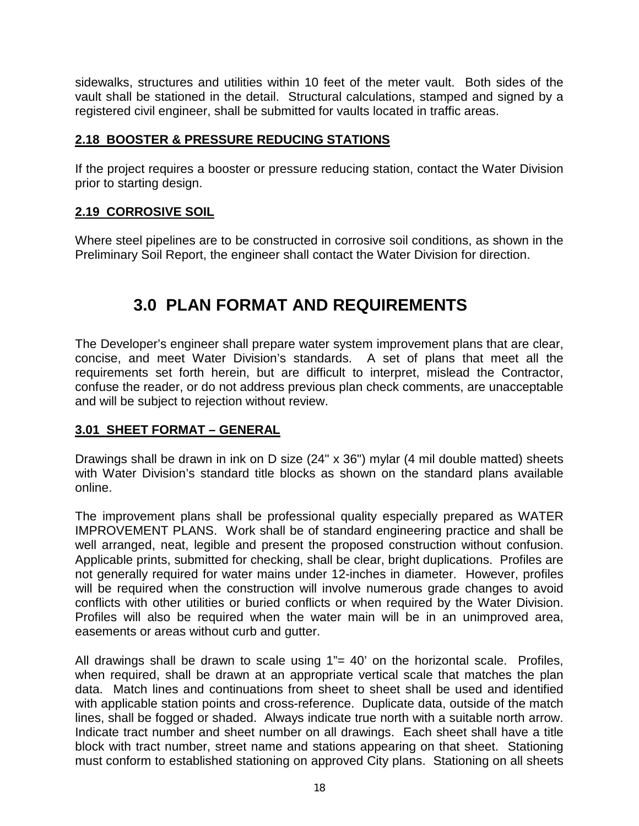sidewalks, structures and utilities within 10 feet of the meter vault. Both sides of the vault shall be stationed in the detail. Structural calculations, stamped and signed by a registered civil engineer, shall be submitted for vaults located in traffic areas.

## **2.18 BOOSTER & PRESSURE REDUCING STATIONS**

If the project requires a booster or pressure reducing station, contact the Water Division prior to starting design.

## **2.19 CORROSIVE SOIL**

Where steel pipelines are to be constructed in corrosive soil conditions, as shown in the Preliminary Soil Report, the engineer shall contact the Water Division for direction.

## **3.0 PLAN FORMAT AND REQUIREMENTS**

The Developer's engineer shall prepare water system improvement plans that are clear, concise, and meet Water Division's standards. A set of plans that meet all the requirements set forth herein, but are difficult to interpret, mislead the Contractor, confuse the reader, or do not address previous plan check comments, are unacceptable and will be subject to rejection without review.

## **3.01 SHEET FORMAT – GENERAL**

Drawings shall be drawn in ink on D size (24" x 36") mylar (4 mil double matted) sheets with Water Division's standard title blocks as shown on the standard plans available online.

The improvement plans shall be professional quality especially prepared as WATER IMPROVEMENT PLANS. Work shall be of standard engineering practice and shall be well arranged, neat, legible and present the proposed construction without confusion. Applicable prints, submitted for checking, shall be clear, bright duplications. Profiles are not generally required for water mains under 12-inches in diameter. However, profiles will be required when the construction will involve numerous grade changes to avoid conflicts with other utilities or buried conflicts or when required by the Water Division. Profiles will also be required when the water main will be in an unimproved area, easements or areas without curb and gutter.

All drawings shall be drawn to scale using 1"= 40' on the horizontal scale. Profiles, when required, shall be drawn at an appropriate vertical scale that matches the plan data. Match lines and continuations from sheet to sheet shall be used and identified with applicable station points and cross-reference. Duplicate data, outside of the match lines, shall be fogged or shaded. Always indicate true north with a suitable north arrow. Indicate tract number and sheet number on all drawings. Each sheet shall have a title block with tract number, street name and stations appearing on that sheet. Stationing must conform to established stationing on approved City plans. Stationing on all sheets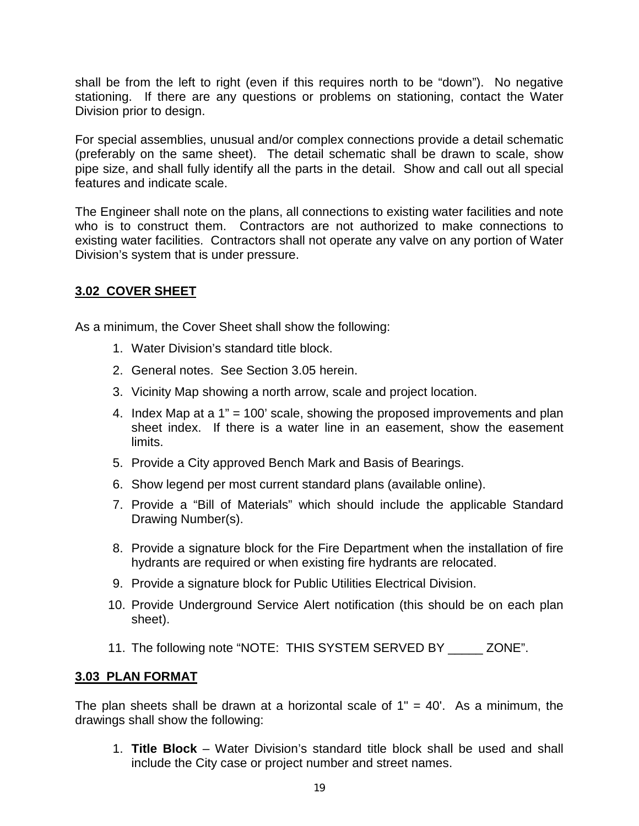shall be from the left to right (even if this requires north to be "down"). No negative stationing. If there are any questions or problems on stationing, contact the Water Division prior to design.

For special assemblies, unusual and/or complex connections provide a detail schematic (preferably on the same sheet). The detail schematic shall be drawn to scale, show pipe size, and shall fully identify all the parts in the detail. Show and call out all special features and indicate scale.

The Engineer shall note on the plans, all connections to existing water facilities and note who is to construct them. Contractors are not authorized to make connections to existing water facilities. Contractors shall not operate any valve on any portion of Water Division's system that is under pressure.

## **3.02 COVER SHEET**

As a minimum, the Cover Sheet shall show the following:

- 1. Water Division's standard title block.
- 2. General notes. See Section 3.05 herein.
- 3. Vicinity Map showing a north arrow, scale and project location.
- 4. Index Map at a 1" = 100' scale, showing the proposed improvements and plan sheet index. If there is a water line in an easement, show the easement limits.
- 5. Provide a City approved Bench Mark and Basis of Bearings.
- 6. Show legend per most current standard plans (available online).
- 7. Provide a "Bill of Materials" which should include the applicable Standard Drawing Number(s).
- 8. Provide a signature block for the Fire Department when the installation of fire hydrants are required or when existing fire hydrants are relocated.
- 9. Provide a signature block for Public Utilities Electrical Division.
- 10. Provide Underground Service Alert notification (this should be on each plan sheet).
- 11. The following note "NOTE: THIS SYSTEM SERVED BY \_\_\_\_\_ ZONE".

## **3.03 PLAN FORMAT**

The plan sheets shall be drawn at a horizontal scale of  $1" = 40'$ . As a minimum, the drawings shall show the following:

1. **Title Block** – Water Division's standard title block shall be used and shall include the City case or project number and street names.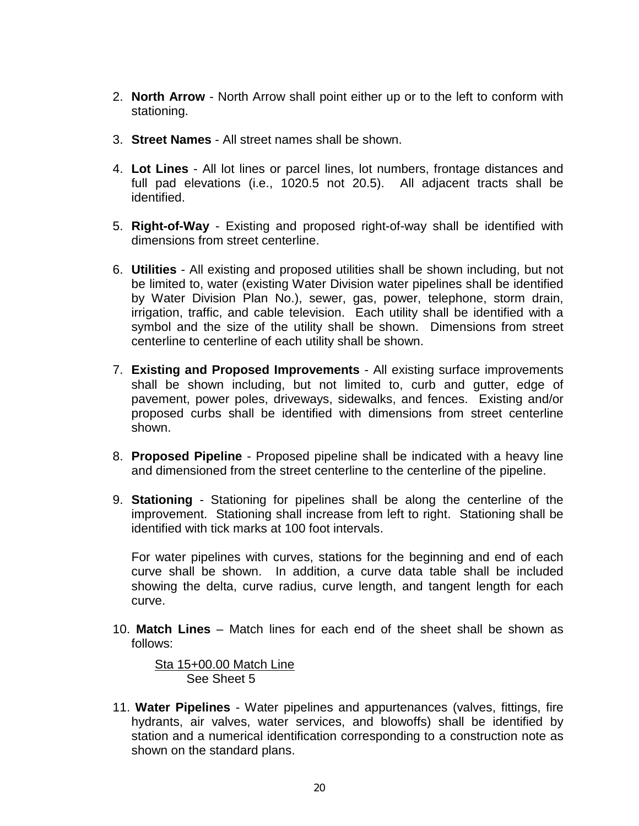- 2. **North Arrow** North Arrow shall point either up or to the left to conform with stationing.
- 3. **Street Names** All street names shall be shown.
- 4. **Lot Lines** All lot lines or parcel lines, lot numbers, frontage distances and full pad elevations (i.e., 1020.5 not 20.5). All adjacent tracts shall be identified.
- 5. **Right-of-Way** Existing and proposed right-of-way shall be identified with dimensions from street centerline.
- 6. **Utilities** All existing and proposed utilities shall be shown including, but not be limited to, water (existing Water Division water pipelines shall be identified by Water Division Plan No.), sewer, gas, power, telephone, storm drain, irrigation, traffic, and cable television. Each utility shall be identified with a symbol and the size of the utility shall be shown. Dimensions from street centerline to centerline of each utility shall be shown.
- 7. **Existing and Proposed Improvements** All existing surface improvements shall be shown including, but not limited to, curb and gutter, edge of pavement, power poles, driveways, sidewalks, and fences. Existing and/or proposed curbs shall be identified with dimensions from street centerline shown.
- 8. **Proposed Pipeline** Proposed pipeline shall be indicated with a heavy line and dimensioned from the street centerline to the centerline of the pipeline.
- 9. **Stationing** Stationing for pipelines shall be along the centerline of the improvement. Stationing shall increase from left to right. Stationing shall be identified with tick marks at 100 foot intervals.

For water pipelines with curves, stations for the beginning and end of each curve shall be shown. In addition, a curve data table shall be included showing the delta, curve radius, curve length, and tangent length for each curve.

10. **Match Lines** – Match lines for each end of the sheet shall be shown as follows:

 Sta 15+00.00 Match Line See Sheet 5

11. **Water Pipelines** - Water pipelines and appurtenances (valves, fittings, fire hydrants, air valves, water services, and blowoffs) shall be identified by station and a numerical identification corresponding to a construction note as shown on the standard plans.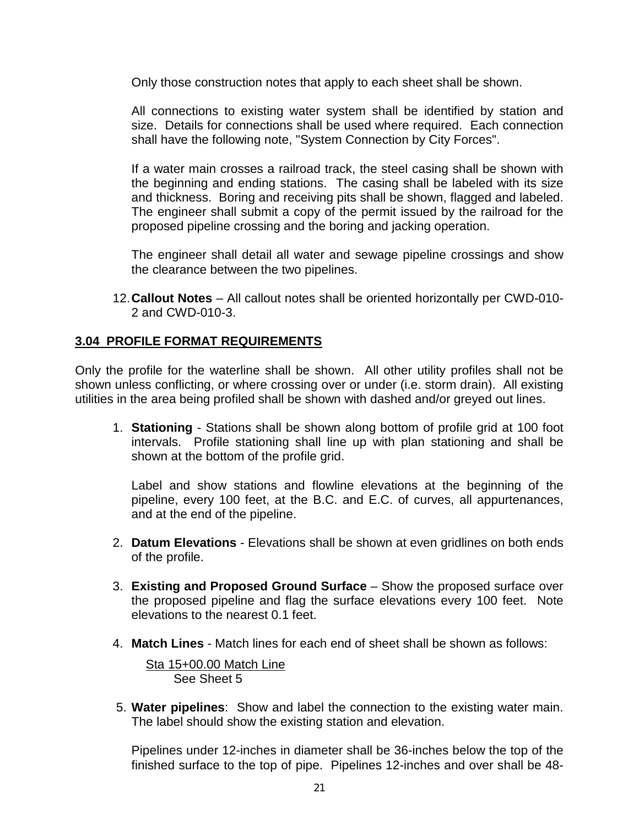Only those construction notes that apply to each sheet shall be shown.

All connections to existing water system shall be identified by station and size. Details for connections shall be used where required. Each connection shall have the following note, "System Connection by City Forces".

If a water main crosses a railroad track, the steel casing shall be shown with the beginning and ending stations. The casing shall be labeled with its size and thickness. Boring and receiving pits shall be shown, flagged and labeled. The engineer shall submit a copy of the permit issued by the railroad for the proposed pipeline crossing and the boring and jacking operation.

The engineer shall detail all water and sewage pipeline crossings and show the clearance between the two pipelines.

12.**Callout Notes** – All callout notes shall be oriented horizontally per CWD-010- 2 and CWD-010-3.

#### **3.04 PROFILE FORMAT REQUIREMENTS**

Only the profile for the waterline shall be shown. All other utility profiles shall not be shown unless conflicting, or where crossing over or under (i.e. storm drain). All existing utilities in the area being profiled shall be shown with dashed and/or greyed out lines.

1. **Stationing** - Stations shall be shown along bottom of profile grid at 100 foot intervals. Profile stationing shall line up with plan stationing and shall be shown at the bottom of the profile grid.

Label and show stations and flowline elevations at the beginning of the pipeline, every 100 feet, at the B.C. and E.C. of curves, all appurtenances, and at the end of the pipeline.

- 2. **Datum Elevations** Elevations shall be shown at even gridlines on both ends of the profile.
- 3. **Existing and Proposed Ground Surface** Show the proposed surface over the proposed pipeline and flag the surface elevations every 100 feet. Note elevations to the nearest 0.1 feet.
- 4. **Match Lines** Match lines for each end of sheet shall be shown as follows:

 Sta 15+00.00 Match Line See Sheet 5

5. **Water pipelines**: Show and label the connection to the existing water main. The label should show the existing station and elevation.

Pipelines under 12-inches in diameter shall be 36-inches below the top of the finished surface to the top of pipe. Pipelines 12-inches and over shall be 48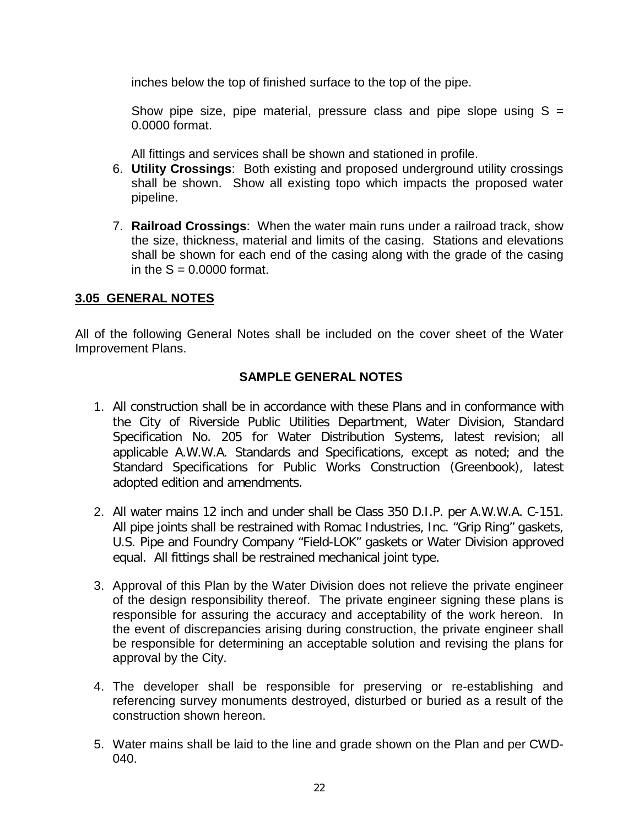inches below the top of finished surface to the top of the pipe.

Show pipe size, pipe material, pressure class and pipe slope using  $S =$ 0.0000 format.

All fittings and services shall be shown and stationed in profile.

- 6. **Utility Crossings**: Both existing and proposed underground utility crossings shall be shown. Show all existing topo which impacts the proposed water pipeline.
- 7. **Railroad Crossings**: When the water main runs under a railroad track, show the size, thickness, material and limits of the casing. Stations and elevations shall be shown for each end of the casing along with the grade of the casing in the  $S = 0.0000$  format.

## **3.05 GENERAL NOTES**

All of the following General Notes shall be included on the cover sheet of the Water Improvement Plans.

## **SAMPLE GENERAL NOTES**

- 1. All construction shall be in accordance with these Plans and in conformance with the City of Riverside Public Utilities Department, Water Division, Standard Specification No. 205 for Water Distribution Systems, latest revision; all applicable A.W.W.A. Standards and Specifications, except as noted; and the Standard Specifications for Public Works Construction (Greenbook), latest adopted edition and amendments.
- 2. All water mains 12 inch and under shall be Class 350 D.I.P. per A.W.W.A. C-151. All pipe joints shall be restrained with Romac Industries, Inc. "Grip Ring" gaskets, U.S. Pipe and Foundry Company "Field-LOK" gaskets or Water Division approved equal. All fittings shall be restrained mechanical joint type.
- 3. Approval of this Plan by the Water Division does not relieve the private engineer of the design responsibility thereof. The private engineer signing these plans is responsible for assuring the accuracy and acceptability of the work hereon. In the event of discrepancies arising during construction, the private engineer shall be responsible for determining an acceptable solution and revising the plans for approval by the City.
- 4. The developer shall be responsible for preserving or re-establishing and referencing survey monuments destroyed, disturbed or buried as a result of the construction shown hereon.
- 5. Water mains shall be laid to the line and grade shown on the Plan and per CWD-040.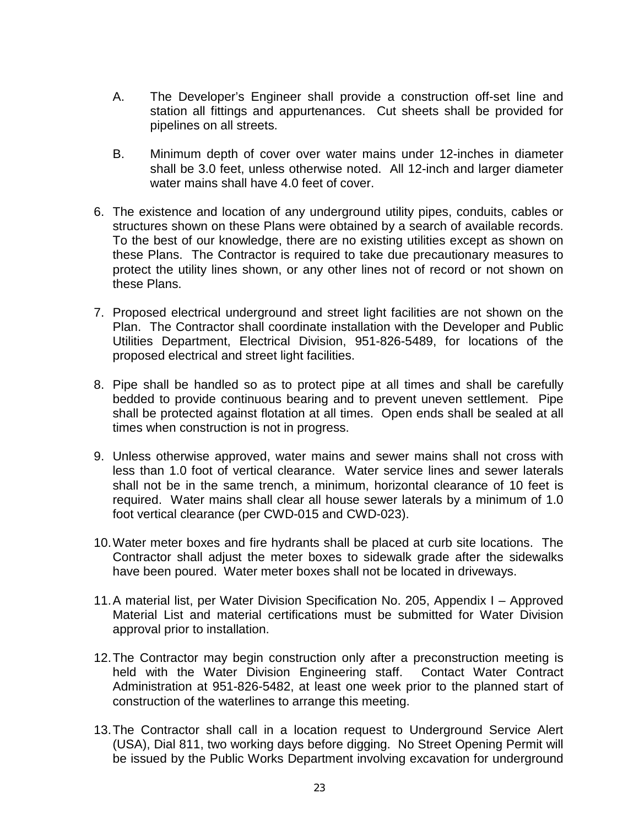- A. The Developer's Engineer shall provide a construction off-set line and station all fittings and appurtenances. Cut sheets shall be provided for pipelines on all streets.
- B. Minimum depth of cover over water mains under 12-inches in diameter shall be 3.0 feet, unless otherwise noted. All 12-inch and larger diameter water mains shall have 4.0 feet of cover.
- 6. The existence and location of any underground utility pipes, conduits, cables or structures shown on these Plans were obtained by a search of available records. To the best of our knowledge, there are no existing utilities except as shown on these Plans. The Contractor is required to take due precautionary measures to protect the utility lines shown, or any other lines not of record or not shown on these Plans.
- 7. Proposed electrical underground and street light facilities are not shown on the Plan. The Contractor shall coordinate installation with the Developer and Public Utilities Department, Electrical Division, 951-826-5489, for locations of the proposed electrical and street light facilities.
- 8. Pipe shall be handled so as to protect pipe at all times and shall be carefully bedded to provide continuous bearing and to prevent uneven settlement. Pipe shall be protected against flotation at all times. Open ends shall be sealed at all times when construction is not in progress.
- 9. Unless otherwise approved, water mains and sewer mains shall not cross with less than 1.0 foot of vertical clearance. Water service lines and sewer laterals shall not be in the same trench, a minimum, horizontal clearance of 10 feet is required. Water mains shall clear all house sewer laterals by a minimum of 1.0 foot vertical clearance (per CWD-015 and CWD-023).
- 10.Water meter boxes and fire hydrants shall be placed at curb site locations. The Contractor shall adjust the meter boxes to sidewalk grade after the sidewalks have been poured. Water meter boxes shall not be located in driveways.
- 11.A material list, per Water Division Specification No. 205, Appendix I Approved Material List and material certifications must be submitted for Water Division approval prior to installation.
- 12.The Contractor may begin construction only after a preconstruction meeting is held with the Water Division Engineering staff. Contact Water Contract Administration at 951-826-5482, at least one week prior to the planned start of construction of the waterlines to arrange this meeting.
- 13.The Contractor shall call in a location request to Underground Service Alert (USA), Dial 811, two working days before digging. No Street Opening Permit will be issued by the Public Works Department involving excavation for underground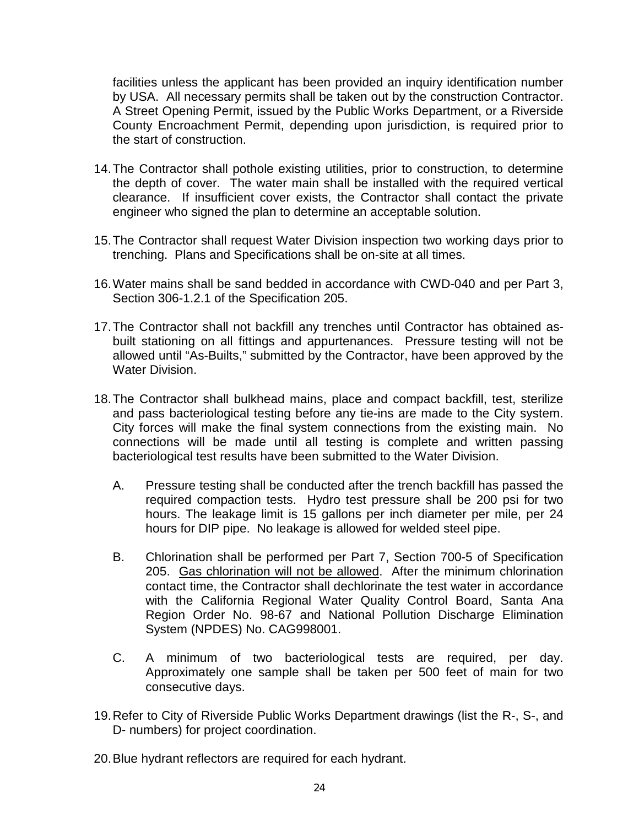facilities unless the applicant has been provided an inquiry identification number by USA. All necessary permits shall be taken out by the construction Contractor. A Street Opening Permit, issued by the Public Works Department, or a Riverside County Encroachment Permit, depending upon jurisdiction, is required prior to the start of construction.

- 14.The Contractor shall pothole existing utilities, prior to construction, to determine the depth of cover. The water main shall be installed with the required vertical clearance. If insufficient cover exists, the Contractor shall contact the private engineer who signed the plan to determine an acceptable solution.
- 15.The Contractor shall request Water Division inspection two working days prior to trenching. Plans and Specifications shall be on-site at all times.
- 16.Water mains shall be sand bedded in accordance with CWD-040 and per Part 3, Section 306-1.2.1 of the Specification 205.
- 17.The Contractor shall not backfill any trenches until Contractor has obtained asbuilt stationing on all fittings and appurtenances. Pressure testing will not be allowed until "As-Builts," submitted by the Contractor, have been approved by the Water Division.
- 18.The Contractor shall bulkhead mains, place and compact backfill, test, sterilize and pass bacteriological testing before any tie-ins are made to the City system. City forces will make the final system connections from the existing main. No connections will be made until all testing is complete and written passing bacteriological test results have been submitted to the Water Division.
	- A. Pressure testing shall be conducted after the trench backfill has passed the required compaction tests. Hydro test pressure shall be 200 psi for two hours. The leakage limit is 15 gallons per inch diameter per mile, per 24 hours for DIP pipe. No leakage is allowed for welded steel pipe.
	- B. Chlorination shall be performed per Part 7, Section 700-5 of Specification 205. Gas chlorination will not be allowed. After the minimum chlorination contact time, the Contractor shall dechlorinate the test water in accordance with the California Regional Water Quality Control Board, Santa Ana Region Order No. 98-67 and National Pollution Discharge Elimination System (NPDES) No. CAG998001.
	- C. A minimum of two bacteriological tests are required, per day. Approximately one sample shall be taken per 500 feet of main for two consecutive days.
- 19.Refer to City of Riverside Public Works Department drawings (list the R-, S-, and D- numbers) for project coordination.
- 20.Blue hydrant reflectors are required for each hydrant.